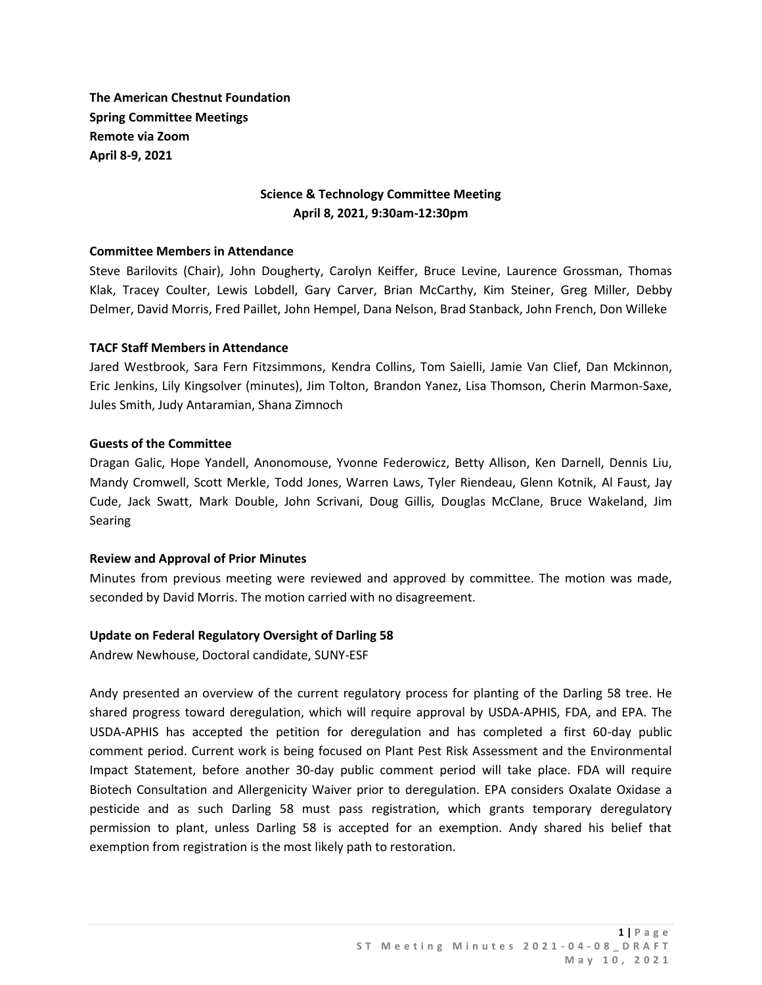**The American Chestnut Foundation Spring Committee Meetings Remote via Zoom April 8-9, 2021**

# **Science & Technology Committee Meeting April 8, 2021, 9:30am-12:30pm**

#### **Committee Members in Attendance**

Steve Barilovits (Chair), John Dougherty, Carolyn Keiffer, Bruce Levine, Laurence Grossman, Thomas Klak, Tracey Coulter, Lewis Lobdell, Gary Carver, Brian McCarthy, Kim Steiner, Greg Miller, Debby Delmer, David Morris, Fred Paillet, John Hempel, Dana Nelson, Brad Stanback, John French, Don Willeke

#### **TACF Staff Members in Attendance**

Jared Westbrook, Sara Fern Fitzsimmons, Kendra Collins, Tom Saielli, Jamie Van Clief, Dan Mckinnon, Eric Jenkins, Lily Kingsolver (minutes), Jim Tolton, Brandon Yanez, Lisa Thomson, Cherin Marmon-Saxe, Jules Smith, Judy Antaramian, Shana Zimnoch

#### **Guests of the Committee**

Dragan Galic, Hope Yandell, Anonomouse, Yvonne Federowicz, Betty Allison, Ken Darnell, Dennis Liu, Mandy Cromwell, Scott Merkle, Todd Jones, Warren Laws, Tyler Riendeau, Glenn Kotnik, Al Faust, Jay Cude, Jack Swatt, Mark Double, John Scrivani, Doug Gillis, Douglas McClane, Bruce Wakeland, Jim Searing

#### **Review and Approval of Prior Minutes**

Minutes from previous meeting were reviewed and approved by committee. The motion was made, seconded by David Morris. The motion carried with no disagreement.

### **Update on Federal Regulatory Oversight of Darling 58**

Andrew Newhouse, Doctoral candidate, SUNY-ESF

Andy presented an overview of the current regulatory process for planting of the Darling 58 tree. He shared progress toward deregulation, which will require approval by USDA-APHIS, FDA, and EPA. The USDA-APHIS has accepted the petition for deregulation and has completed a first 60-day public comment period. Current work is being focused on Plant Pest Risk Assessment and the Environmental Impact Statement, before another 30-day public comment period will take place. FDA will require Biotech Consultation and Allergenicity Waiver prior to deregulation. EPA considers Oxalate Oxidase a pesticide and as such Darling 58 must pass registration, which grants temporary deregulatory permission to plant, unless Darling 58 is accepted for an exemption. Andy shared his belief that exemption from registration is the most likely path to restoration.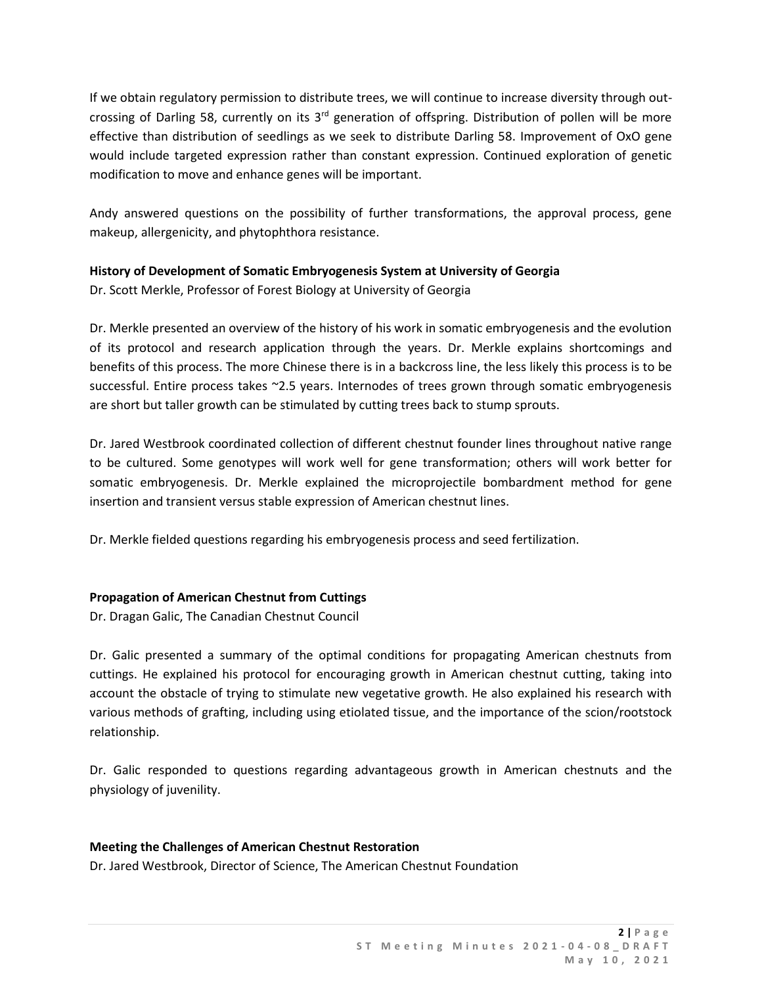If we obtain regulatory permission to distribute trees, we will continue to increase diversity through outcrossing of Darling 58, currently on its 3<sup>rd</sup> generation of offspring. Distribution of pollen will be more effective than distribution of seedlings as we seek to distribute Darling 58. Improvement of OxO gene would include targeted expression rather than constant expression. Continued exploration of genetic modification to move and enhance genes will be important.

Andy answered questions on the possibility of further transformations, the approval process, gene makeup, allergenicity, and phytophthora resistance.

# **History of Development of Somatic Embryogenesis System at University of Georgia**

Dr. Scott Merkle, Professor of Forest Biology at University of Georgia

Dr. Merkle presented an overview of the history of his work in somatic embryogenesis and the evolution of its protocol and research application through the years. Dr. Merkle explains shortcomings and benefits of this process. The more Chinese there is in a backcross line, the less likely this process is to be successful. Entire process takes ~2.5 years. Internodes of trees grown through somatic embryogenesis are short but taller growth can be stimulated by cutting trees back to stump sprouts.

Dr. Jared Westbrook coordinated collection of different chestnut founder lines throughout native range to be cultured. Some genotypes will work well for gene transformation; others will work better for somatic embryogenesis. Dr. Merkle explained the microprojectile bombardment method for gene insertion and transient versus stable expression of American chestnut lines.

Dr. Merkle fielded questions regarding his embryogenesis process and seed fertilization.

# **Propagation of American Chestnut from Cuttings**

Dr. Dragan Galic, The Canadian Chestnut Council

Dr. Galic presented a summary of the optimal conditions for propagating American chestnuts from cuttings. He explained his protocol for encouraging growth in American chestnut cutting, taking into account the obstacle of trying to stimulate new vegetative growth. He also explained his research with various methods of grafting, including using etiolated tissue, and the importance of the scion/rootstock relationship.

Dr. Galic responded to questions regarding advantageous growth in American chestnuts and the physiology of juvenility.

# **Meeting the Challenges of American Chestnut Restoration**

Dr. Jared Westbrook, Director of Science, The American Chestnut Foundation